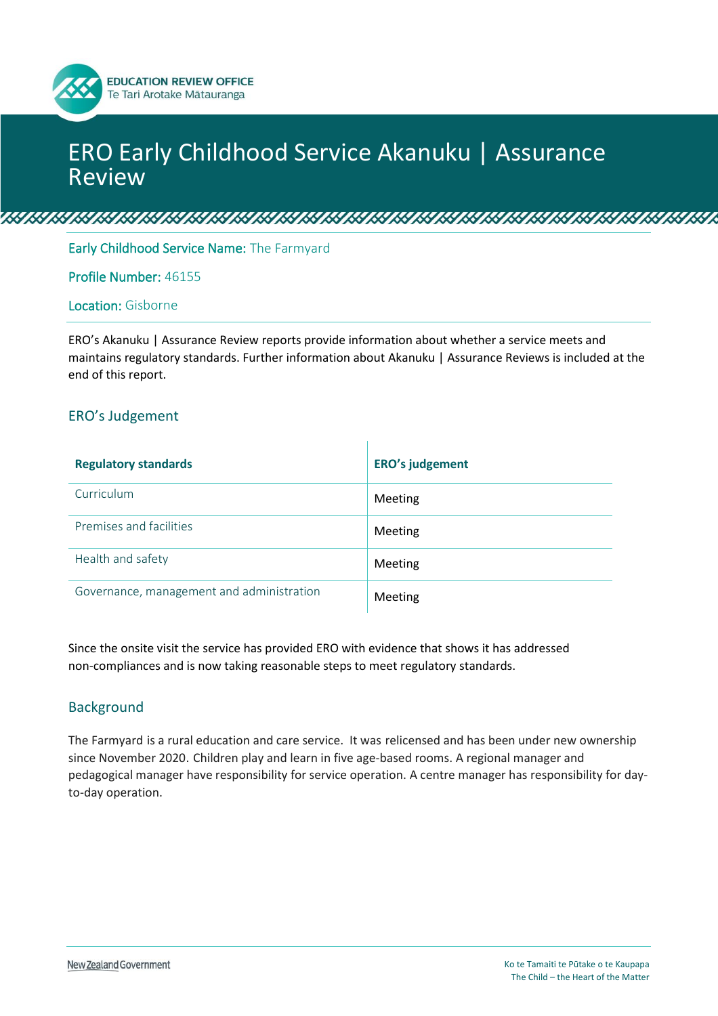# ERO Early Childhood Service Akanuku | Assurance Review

<u>is is its in the information is in the information in the international state</u>

Early Childhood Service Name: The Farmyard

**EDUCATION REVIEW OFFICE** Te Tari Arotake Mātauranga

#### Profile Number: 46155

### Location: Gisborne

ERO's Akanuku | Assurance Review reports provide information about whether a service meets and maintains regulatory standards. Further information about Akanuku | Assurance Reviews is included at the end of this report.

 $\mathbf{I}$ 

#### ERO's Judgement

| <b>Regulatory standards</b>               | <b>ERO's judgement</b> |
|-------------------------------------------|------------------------|
| Curriculum                                | Meeting                |
| Premises and facilities                   | Meeting                |
| Health and safety                         | Meeting                |
| Governance, management and administration | Meeting                |

Since the onsite visit the service has provided ERO with evidence that shows it has addressed non-compliances and is now taking reasonable steps to meet regulatory standards.

#### Background

The Farmyard is a rural education and care service. It was relicensed and has been under new ownership since November 2020. Children play and learn in five age-based rooms. A regional manager and pedagogical manager have responsibility for service operation. A centre manager has responsibility for dayto-day operation.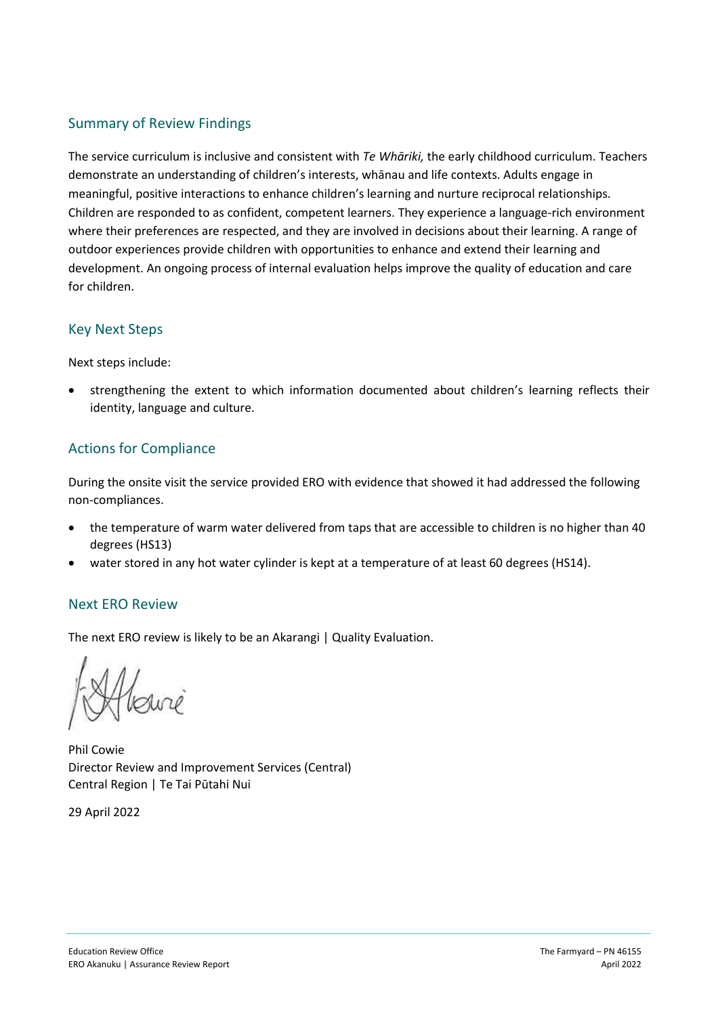## Summary of Review Findings

The service curriculum is inclusive and consistent with *Te Whāriki,* the early childhood curriculum. Teachers demonstrate an understanding of children's interests, whānau and life contexts. Adults engage in meaningful, positive interactions to enhance children's learning and nurture reciprocal relationships. Children are responded to as confident, competent learners. They experience a language-rich environment where their preferences are respected, and they are involved in decisions about their learning. A range of outdoor experiences provide children with opportunities to enhance and extend their learning and development. An ongoing process of internal evaluation helps improve the quality of education and care for children.

## Key Next Steps

Next steps include:

• strengthening the extent to which information documented about children's learning reflects their identity, language and culture.

## Actions for Compliance

During the onsite visit the service provided ERO with evidence that showed it had addressed the following non-compliances.

- the temperature of warm water delivered from taps that are accessible to children is no higher than 40 degrees (HS13)
- water stored in any hot water cylinder is kept at a temperature of at least 60 degrees (HS14).

### Next ERO Review

The next ERO review is likely to be an Akarangi | Quality Evaluation.

Phil Cowie Director Review and Improvement Services (Central) Central Region | Te Tai Pūtahi Nui

29 April 2022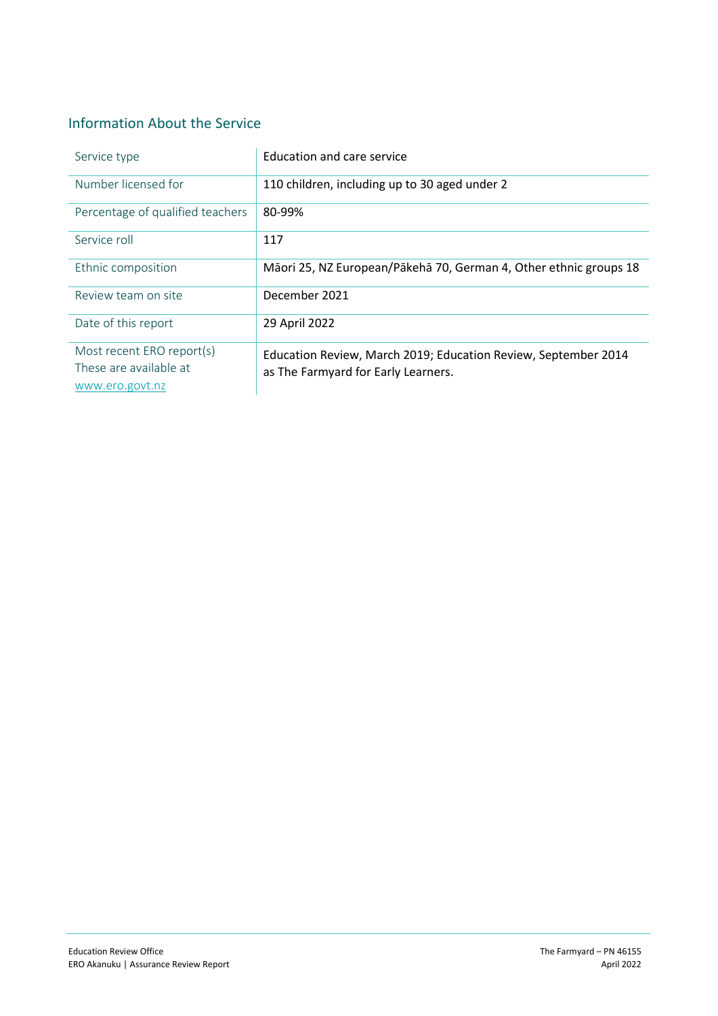## Information About the Service

| Service type                                                           | Education and care service                                                                            |
|------------------------------------------------------------------------|-------------------------------------------------------------------------------------------------------|
| Number licensed for                                                    | 110 children, including up to 30 aged under 2                                                         |
| Percentage of qualified teachers                                       | 80-99%                                                                                                |
| Service roll                                                           | 117                                                                                                   |
| Ethnic composition                                                     | Māori 25, NZ European/Pākehā 70, German 4, Other ethnic groups 18                                     |
| Review team on site                                                    | December 2021                                                                                         |
| Date of this report                                                    | 29 April 2022                                                                                         |
| Most recent ERO report(s)<br>These are available at<br>www.ero.govt.nz | Education Review, March 2019; Education Review, September 2014<br>as The Farmyard for Early Learners. |